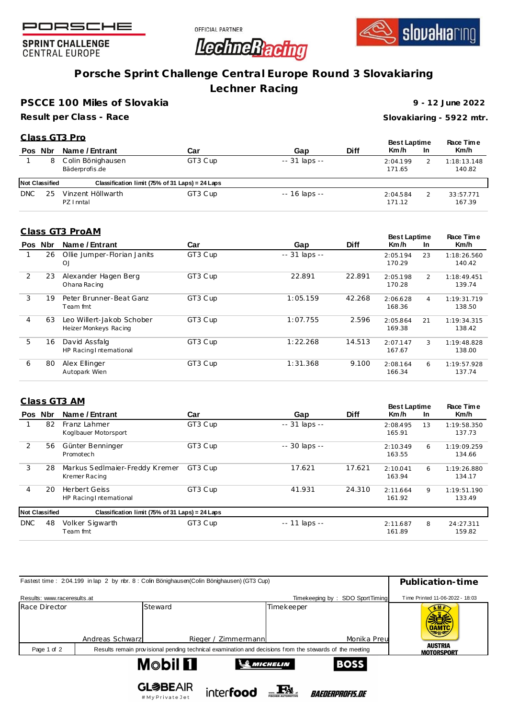





**SPRINT CHALLENGE CENTRAL EUROPE** 

# **Porsche Sprint Challenge Central Europe Round 3 Slovakiaring**

**Lechner Racing**

**PSCCE 100 Miles of Slovakia**

**Result per Class - Race**

**9 - 12 June 2022**

**Slovakiaring - 5922 mtr.**

### **Pos Nbr Name / Entrant Car Gap Diff C lass GT3 Pro Race Tim e Km/h Best Laptime Km /h In** 1 8 C olin Bönighausen GT3 C up -- 31 laps -- 2:04.199 2 Bäderprofis .de 1:18:13.148 140.82 **Not Classified Classification limit (75% of 31 Laps) = 24 Laps** DNC 25 Vinzent Höllwarth GT3 C up -- 16 laps -- 2:04.584 2 PZ Inntal 33 :57.771 171.12

## **Class GT3 ProAM**

| <u>.</u> |         |                                                    |         |                |             | <b>Best Laptime</b> |                | Race Time             |
|----------|---------|----------------------------------------------------|---------|----------------|-------------|---------------------|----------------|-----------------------|
|          | Pos Nbr | Name / Entrant                                     | Car     | Gap            | <b>Diff</b> | Km/h                | <b>In</b>      | Km/h                  |
|          | 26      | Ollie Jumper-Florian Janits<br>OJ                  | GT3 Cup | $-31$ laps $-$ |             | 2:05.194<br>170.29  | 23             | 1:18:26.560<br>140.42 |
| 2        | 23      | Alexander Hagen Berg<br>Ohana Racing               | GT3 Cup | 22.891         | 22.891      | 2:05.198<br>170.28  | $\overline{2}$ | 1:18:49.451<br>139.74 |
| 3        | 19      | Peter Brunner-Beat Ganz<br>Team fmt                | GT3 Cup | 1:05.159       | 42.268      | 2:06.628<br>168.36  | 4              | 1:19:31.719<br>138.50 |
| 4        | 63      | Leo Willert-Jakob Schober<br>Heizer Monkeys Racing | GT3 Cup | 1:07.755       | 2.596       | 2:05.864<br>169.38  | 21             | 1:19:34.315<br>138.42 |
| 5        | 16      | David Assfalg<br>HP Racing International           | GT3 Cup | 1:22.268       | 14.513      | 2:07.147<br>167.67  | 3              | 1:19:48.828<br>138.00 |
| 6        | 80      | Alex Ellinger<br>Autopark Wien                     | GT3 Cup | 1:31.368       | 9.100       | 2:08.164<br>166.34  | 6              | 1:19:57.928<br>137.74 |

|    | Class GT3 AM                                    |                       |                                                 |             |                    |           | Race Time             |
|----|-------------------------------------------------|-----------------------|-------------------------------------------------|-------------|--------------------|-----------|-----------------------|
|    | Name / Entrant                                  | Car                   | Gap                                             | <b>Diff</b> | Km/h               | <b>In</b> | Km/h                  |
| 82 | Franz Lahmer<br>Koglbauer Motorsport            | GT3 Cup               | -- 31 laps --                                   |             | 2:08.495<br>165.91 | 13        | 1:19:58.350<br>137.73 |
| 56 | Günter Benninger<br>Promotech                   | GT3 Cup               | -- 30 laps --                                   |             | 2:10.349<br>163.55 | 6         | 1:19:09.259<br>134.66 |
| 28 | Markus SedImaier-Freddy Kremer<br>Kremer Racing | GT3 Cup               | 17.621                                          | 17.621      | 2:10.041<br>163.94 | 6         | 1:19:26.880<br>134.17 |
| 20 | <b>Herbert Geiss</b><br>HP Racing International | GT3 Cup               | 41.931                                          | 24.310      | 2:11.664<br>161.92 | 9         | 1:19:51.190<br>133.49 |
|    |                                                 |                       |                                                 |             |                    |           |                       |
| 48 | Volker Sigwarth<br>Team fmt                     | GT3 Cup               | $- - 11$ laps $- -$                             |             | 2:11.687<br>161.89 | 8         | 24:27.311<br>159.82   |
|    | Pos Nbr                                         | <b>Not Classified</b> | Classification limit (75% of 31 Laps) = 24 Laps |             |                    |           | <b>Best Laptime</b>   |

| Fastest time: 204.199 in lap 2 by rbr. 8: Colin Bönighausen(Colin Bönighausen) (GT3 Cup) | Publication-time                                                   |                                  |                                                                                                         |                    |                               |             |                                     |
|------------------------------------------------------------------------------------------|--------------------------------------------------------------------|----------------------------------|---------------------------------------------------------------------------------------------------------|--------------------|-------------------------------|-------------|-------------------------------------|
| Results: www.raceresults.at                                                              | Timekeeping by: SDO SportTiming<br>Time Printed 11-06-2022 - 18:03 |                                  |                                                                                                         |                    |                               |             |                                     |
| Race Director                                                                            | Andreas Schwarz                                                    | Steward                          | Rieger / Zimmermann                                                                                     | Timekeeper         |                               | Monika Preu | <b>OAMTC</b><br>マルラ                 |
| Page 1 of 2                                                                              |                                                                    |                                  | Results remain provisional pending technical examination and decisions from the stewards of the meeting |                    |                               |             | <b>AUSTRIA</b><br><b>MOTORSPORT</b> |
|                                                                                          |                                                                    | M©bil <b>11</b>                  |                                                                                                         | <b>SO MICHELIN</b> |                               | <b>BOSS</b> |                                     |
|                                                                                          |                                                                    | <b>GL参BEAIR</b><br>#MyPrivateJet | inter <b>food</b>                                                                                       |                    | <i><b>BAEDERPROFIS.DE</b></i> |             |                                     |